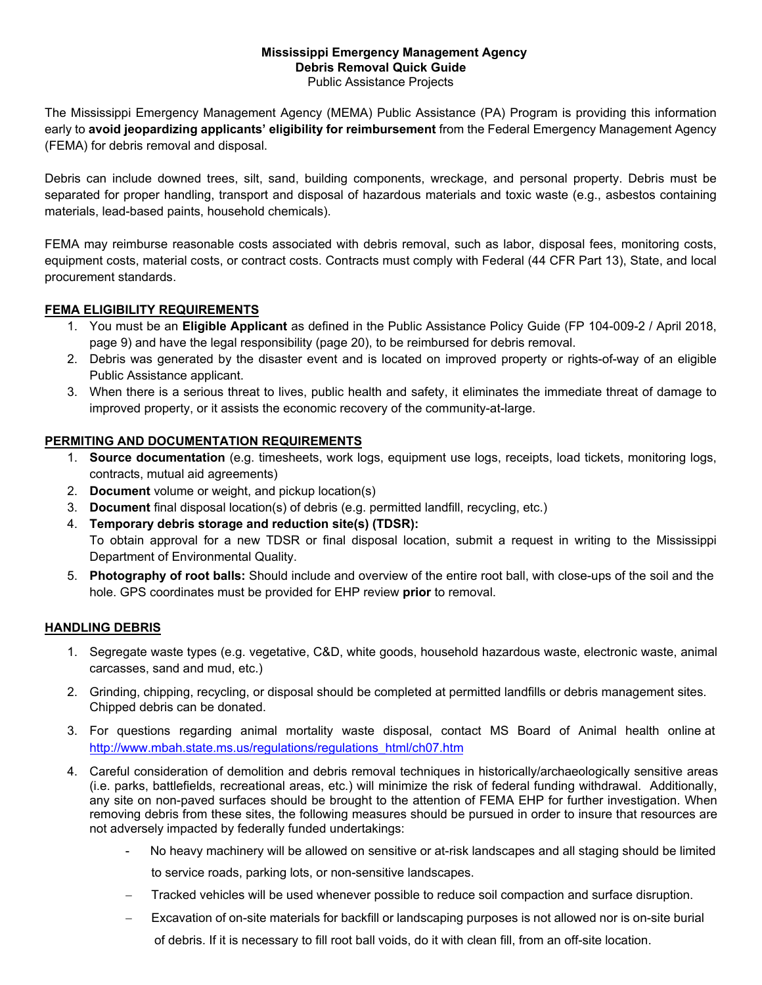# **Mississippi Emergency Management Agency Debris Removal Quick Guide**

Public Assistance Projects

The Mississippi Emergency Management Agency (MEMA) Public Assistance (PA) Program is providing this information early to **avoid jeopardizing applicants' eligibility for reimbursement** from the Federal Emergency Management Agency (FEMA) for debris removal and disposal.

Debris can include downed trees, silt, sand, building components, wreckage, and personal property. Debris must be separated for proper handling, transport and disposal of hazardous materials and toxic waste (e.g., asbestos containing materials, lead-based paints, household chemicals).

FEMA may reimburse reasonable costs associated with debris removal, such as labor, disposal fees, monitoring costs, equipment costs, material costs, or contract costs. Contracts must comply with Federal (44 CFR Part 13), State, and local procurement standards.

## **FEMA ELIGIBILITY REQUIREMENTS**

- 1. You must be an **Eligible Applicant** as defined in the Public Assistance Policy Guide (FP 104-009-2 / April 2018, page 9) and have the legal responsibility (page 20), to be reimbursed for debris removal.
- 2. Debris was generated by the disaster event and is located on improved property or rights-of-way of an eligible Public Assistance applicant.
- 3. When there is a serious threat to lives, public health and safety, it eliminates the immediate threat of damage to improved property, or it assists the economic recovery of the community-at-large.

## **PERMITING AND DOCUMENTATION REQUIREMENTS**

- 1. **Source documentation** (e.g. timesheets, work logs, equipment use logs, receipts, load tickets, monitoring logs, contracts, mutual aid agreements)
- 2. **Document** volume or weight, and pickup location(s)
- 3. **Document** final disposal location(s) of debris (e.g. permitted landfill, recycling, etc.)
- 4. **Temporary debris storage and reduction site(s) (TDSR):** To obtain approval for a new TDSR or final disposal location, submit a request in writing to the Mississippi Department of Environmental Quality.
- 5. **Photography of root balls:** Should include and overview of the entire root ball, with close-ups of the soil and the hole. GPS coordinates must be provided for EHP review **prior** to removal.

## **HANDLING DEBRIS**

- 1. Segregate waste types (e.g. vegetative, C&D, white goods, household hazardous waste, electronic waste, animal carcasses, sand and mud, etc.)
- 2. Grinding, chipping, recycling, or disposal should be completed at permitted landfills or debris management sites. Chipped debris can be donated.
- 3. For questions regarding animal mortality waste disposal, contact MS Board of Animal health online at http://www.mbah.state.ms.us/regulations/regulations\_html/ch07.htm
- 4. Careful consideration of demolition and debris removal techniques in historically/archaeologically sensitive areas (i.e. parks, battlefields, recreational areas, etc.) will minimize the risk of federal funding withdrawal. Additionally, any site on non-paved surfaces should be brought to the attention of FEMA EHP for further investigation. When removing debris from these sites, the following measures should be pursued in order to insure that resources are not adversely impacted by federally funded undertakings:
	- No heavy machinery will be allowed on sensitive or at-risk landscapes and all staging should be limited to service roads, parking lots, or non-sensitive landscapes.
	- − Tracked vehicles will be used whenever possible to reduce soil compaction and surface disruption.
	- − Excavation of on-site materials for backfill or landscaping purposes is not allowed nor is on-site burial
		- of debris. If it is necessary to fill root ball voids, do it with clean fill, from an off-site location.